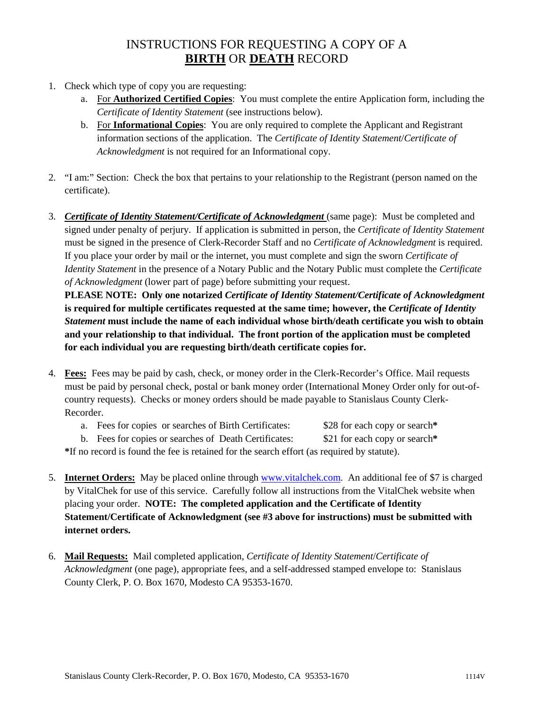# INSTRUCTIONS FOR REQUESTING A COPY OF A **BIRTH** OR **DEATH** RECORD

- 1. Check which type of copy you are requesting:
	- a. For **Authorized Certified Copies**: You must complete the entire Application form, including the *Certificate of Identity Statement* (see instructions below).
	- b. For **Informational Copies**: You are only required to complete the Applicant and Registrant information sections of the application. The *Certificate of Identity Statement*/*Certificate of Acknowledgment* is not required for an Informational copy.
- 2. "I am:" Section: Check the box that pertains to your relationship to the Registrant (person named on the certificate).
- 3. *Certificate of Identity Statement/Certificate of Acknowledgment* (same page): Must be completed and signed under penalty of perjury. If application is submitted in person, the *Certificate of Identity Statement* must be signed in the presence of Clerk-Recorder Staff and no *Certificate of Acknowledgment* is required. If you place your order by mail or the internet, you must complete and sign the sworn *Certificate of Identity Statement* in the presence of a Notary Public and the Notary Public must complete the *Certificate of Acknowledgment* (lower part of page) before submitting your request.

**PLEASE NOTE: Only one notarized** *Certificate of Identity Statement/Certificate of Acknowledgment* **is required for multiple certificates requested at the same time; however, the** *Certificate of Identity Statement* **must include the name of each individual whose birth/death certificate you wish to obtain and your relationship to that individual. The front portion of the application must be completed for each individual you are requesting birth/death certificate copies for.**

- 4. **Fees:** Fees may be paid by cash, check, or money order in the Clerk-Recorder's Office. Mail requests must be paid by personal check, postal or bank money order (International Money Order only for out-ofcountry requests). Checks or money orders should be made payable to Stanislaus County Clerk-Recorder.
	- a. Fees for copies or searches of Birth Certificates: \$28 for each copy or search**\***
	- b. Fees for copies or searches of Death Certificates: \$21 for each copy or search**\***

**\***If no record is found the fee is retained for the search effort (as required by statute).

- 5. **Internet Orders:** May be placed online through [www.vitalchek.com.](http://www.vitalchek.com/) An additional fee of \$7 is charged by VitalChek for use of this service. Carefully follow all instructions from the VitalChek website when placing your order. **NOTE: The completed application and the Certificate of Identity Statement/Certificate of Acknowledgment (see #3 above for instructions) must be submitted with internet orders.**
- 6. **Mail Requests:** Mail completed application, *Certificate of Identity Statement*/*Certificate of Acknowledgment* (one page), appropriate fees, and a self-addressed stamped envelope to: Stanislaus County Clerk, P. O. Box 1670, Modesto CA 95353-1670.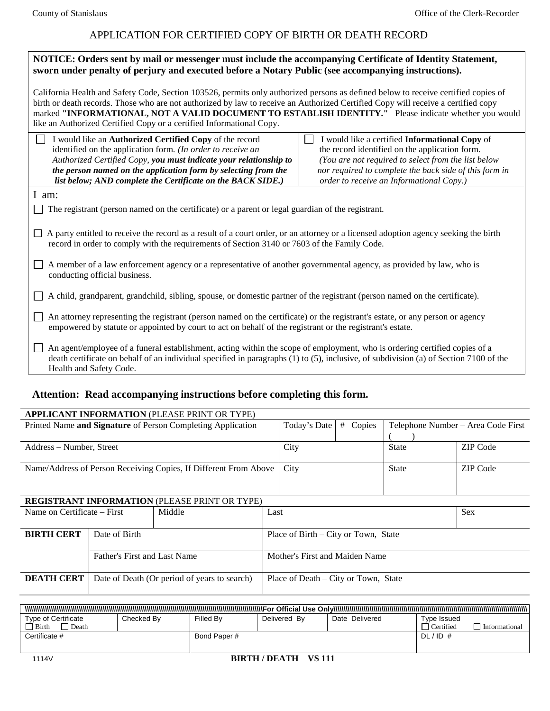## APPLICATION FOR CERTIFIED COPY OF BIRTH OR DEATH RECORD

| NOTICE: Orders sent by mail or messenger must include the accompanying Certificate of Identity Statement,                                                                                                                                                                                                                                                                                                                                                |                                                                                                                                                                                                                                                               |  |  |  |
|----------------------------------------------------------------------------------------------------------------------------------------------------------------------------------------------------------------------------------------------------------------------------------------------------------------------------------------------------------------------------------------------------------------------------------------------------------|---------------------------------------------------------------------------------------------------------------------------------------------------------------------------------------------------------------------------------------------------------------|--|--|--|
| sworn under penalty of perjury and executed before a Notary Public (see accompanying instructions).                                                                                                                                                                                                                                                                                                                                                      |                                                                                                                                                                                                                                                               |  |  |  |
| California Health and Safety Code, Section 103526, permits only authorized persons as defined below to receive certified copies of<br>birth or death records. Those who are not authorized by law to receive an Authorized Certified Copy will receive a certified copy<br>marked "INFORMATIONAL, NOT A VALID DOCUMENT TO ESTABLISH IDENTITY." Please indicate whether you would<br>like an Authorized Certified Copy or a certified Informational Copy. |                                                                                                                                                                                                                                                               |  |  |  |
| I would like an Authorized Certified Copy of the record<br>identified on the application form. (In order to receive an<br>Authorized Certified Copy, you must indicate your relationship to<br>the person named on the application form by selecting from the<br>list below; AND complete the Certificate on the BACK SIDE.)                                                                                                                             | I would like a certified Informational Copy of<br>the record identified on the application form.<br>(You are not required to select from the list below<br>nor required to complete the back side of this form in<br>order to receive an Informational Copy.) |  |  |  |
| I am:                                                                                                                                                                                                                                                                                                                                                                                                                                                    |                                                                                                                                                                                                                                                               |  |  |  |
| The registrant (person named on the certificate) or a parent or legal guardian of the registrant.                                                                                                                                                                                                                                                                                                                                                        |                                                                                                                                                                                                                                                               |  |  |  |
| A party entitled to receive the record as a result of a court order, or an attorney or a licensed adoption agency seeking the birth<br>П<br>record in order to comply with the requirements of Section 3140 or 7603 of the Family Code.<br>A member of a law enforcement agency or a representative of another governmental agency, as provided by law, who is                                                                                           |                                                                                                                                                                                                                                                               |  |  |  |
| conducting official business.                                                                                                                                                                                                                                                                                                                                                                                                                            |                                                                                                                                                                                                                                                               |  |  |  |
| A child, grandparent, grandchild, sibling, spouse, or domestic partner of the registrant (person named on the certificate).                                                                                                                                                                                                                                                                                                                              |                                                                                                                                                                                                                                                               |  |  |  |
| An attorney representing the registrant (person named on the certificate) or the registrant's estate, or any person or agency<br>empowered by statute or appointed by court to act on behalf of the registrant or the registrant's estate.                                                                                                                                                                                                               |                                                                                                                                                                                                                                                               |  |  |  |
| An agent/employee of a funeral establishment, acting within the scope of employment, who is ordering certified copies of a<br>death certificate on behalf of an individual specified in paragraphs (1) to (5), inclusive, of subdivision (a) of Section 7100 of the<br>Health and Safety Code.                                                                                                                                                           |                                                                                                                                                                                                                                                               |  |  |  |

## **Attention: Read accompanying instructions before completing this form.**

| <b>APPLICANT INFORMATION (PLEASE PRINT OR TYPE)</b>              |                                              |      |                                      |                                                   |            |                 |  |
|------------------------------------------------------------------|----------------------------------------------|------|--------------------------------------|---------------------------------------------------|------------|-----------------|--|
| Printed Name and Signature of Person Completing Application      |                                              |      | Today's Date                         | Copies<br>#<br>Telephone Number - Area Code First |            |                 |  |
|                                                                  |                                              |      |                                      |                                                   |            |                 |  |
| Address – Number, Street                                         |                                              |      | City<br><b>State</b>                 |                                                   |            | <b>ZIP</b> Code |  |
|                                                                  |                                              |      |                                      |                                                   |            |                 |  |
| Name/Address of Person Receiving Copies, If Different From Above |                                              |      | City                                 |                                                   | State      | ZIP Code        |  |
|                                                                  |                                              |      |                                      |                                                   |            |                 |  |
|                                                                  |                                              |      |                                      |                                                   |            |                 |  |
| <b>REGISTRANT INFORMATION (PLEASE PRINT OR TYPE)</b>             |                                              |      |                                      |                                                   |            |                 |  |
| Middle<br>Name on Certificate – First                            |                                              | Last |                                      |                                                   | <b>Sex</b> |                 |  |
|                                                                  |                                              |      |                                      |                                                   |            |                 |  |
| <b>BIRTH CERT</b>                                                | Date of Birth                                |      | Place of Birth – City or Town, State |                                                   |            |                 |  |
|                                                                  |                                              |      |                                      |                                                   |            |                 |  |
|                                                                  | Father's First and Last Name                 |      | Mother's First and Maiden Name       |                                                   |            |                 |  |
|                                                                  |                                              |      |                                      |                                                   |            |                 |  |
| <b>DEATH CERT</b>                                                | Date of Death (Or period of years to search) |      | Place of Death – City or Town, State |                                                   |            |                 |  |
|                                                                  |                                              |      |                                      |                                                   |            |                 |  |

| Tvpe of Certificate | Checked Bv | Filled By   | Delivered By | Delivered<br>Date | Type Issued |               |
|---------------------|------------|-------------|--------------|-------------------|-------------|---------------|
| Birth<br>' Death    |            |             |              |                   | Certified   | Informational |
| Certificate #       |            | Bond Paper# |              |                   | $DL/ID$ #   |               |
|                     |            |             |              |                   |             |               |